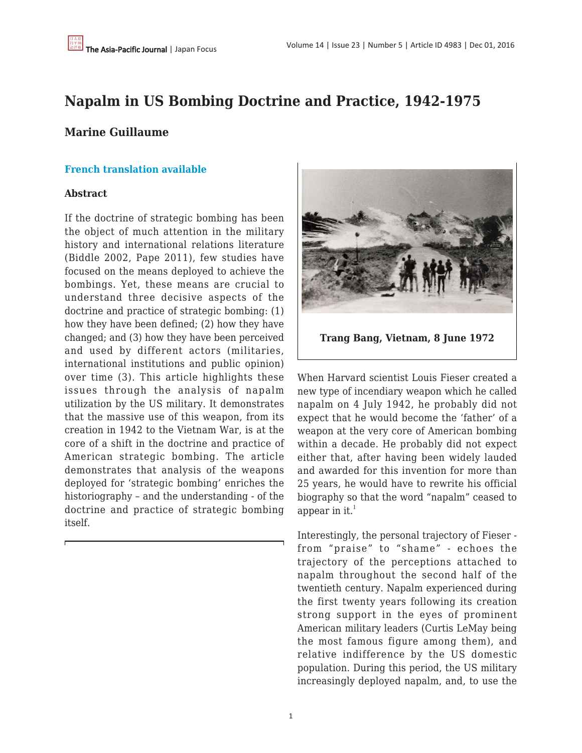## **Napalm in US Bombing Doctrine and Practice, 1942-1975**

## **Marine Guillaume**

#### **[French translation available](http://www.sciencespo.fr/mass-violence-war-massacre-resistance/fr/document/le-napalm-dans-la-doctrine-et-la-pratique-americaines-du-bombardement-1942-1975)**

#### **Abstract**

If the doctrine of strategic bombing has been the object of much attention in the military history and international relations literature (Biddle 2002, Pape 2011), few studies have focused on the means deployed to achieve the bombings. Yet, these means are crucial to understand three decisive aspects of the doctrine and practice of strategic bombing: (1) how they have been defined; (2) how they have changed; and (3) how they have been perceived and used by different actors (militaries, international institutions and public opinion) over time (3). This article highlights these issues through the analysis of napalm utilization by the US military. It demonstrates that the massive use of this weapon, from its creation in 1942 to the Vietnam War, is at the core of a shift in the doctrine and practice of American strategic bombing. The article demonstrates that analysis of the weapons deployed for 'strategic bombing' enriches the historiography – and the understanding - of the doctrine and practice of strategic bombing itself.



When Harvard scientist Louis Fieser created a new type of incendiary weapon which he called napalm on 4 July 1942, he probably did not expect that he would become the 'father' of a weapon at the very core of American bombing within a decade. He probably did not expect either that, after having been widely lauded and awarded for this invention for more than 25 years, he would have to rewrite his official biography so that the word "napalm" ceased to appear in it. $<sup>1</sup>$ </sup>

Interestingly, the personal trajectory of Fieser from "praise" to "shame" - echoes the trajectory of the perceptions attached to napalm throughout the second half of the twentieth century. Napalm experienced during the first twenty years following its creation strong support in the eyes of prominent American military leaders (Curtis LeMay being the most famous figure among them), and relative indifference by the US domestic population. During this period, the US military increasingly deployed napalm, and, to use the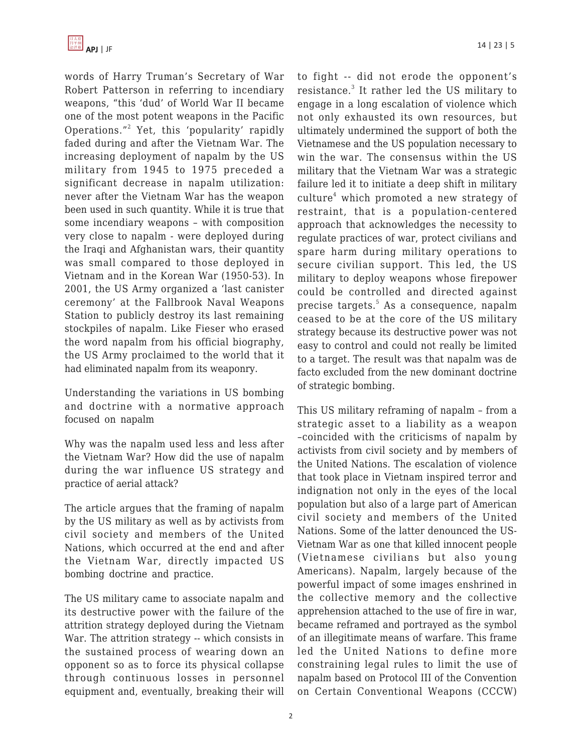

words of Harry Truman's Secretary of War Robert Patterson in referring to incendiary weapons, "this 'dud' of World War II became one of the most potent weapons in the Pacific Operations."<sup>2</sup> Yet, this 'popularity' rapidly faded during and after the Vietnam War. The increasing deployment of napalm by the US military from 1945 to 1975 preceded a significant decrease in napalm utilization: never after the Vietnam War has the weapon been used in such quantity. While it is true that some incendiary weapons – with composition very close to napalm - were deployed during the Iraqi and Afghanistan wars, their quantity was small compared to those deployed in Vietnam and in the Korean War (1950-53). In 2001, the US Army organized a 'last canister ceremony' at the Fallbrook Naval Weapons Station to publicly destroy its last remaining stockpiles of napalm. Like Fieser who erased the word napalm from his official biography, the US Army proclaimed to the world that it had eliminated napalm from its weaponry.

Understanding the variations in US bombing and doctrine with a normative approach focused on napalm

Why was the napalm used less and less after the Vietnam War? How did the use of napalm during the war influence US strategy and practice of aerial attack?

The article argues that the framing of napalm by the US military as well as by activists from civil society and members of the United Nations, which occurred at the end and after the Vietnam War, directly impacted US bombing doctrine and practice.

The US military came to associate napalm and its destructive power with the failure of the attrition strategy deployed during the Vietnam War. The attrition strategy -- which consists in the sustained process of wearing down an opponent so as to force its physical collapse through continuous losses in personnel equipment and, eventually, breaking their will to fight -- did not erode the opponent's resistance.<sup>3</sup> It rather led the US military to engage in a long escalation of violence which not only exhausted its own resources, but ultimately undermined the support of both the Vietnamese and the US population necessary to win the war. The consensus within the US military that the Vietnam War was a strategic failure led it to initiate a deep shift in military culture<sup>4</sup> which promoted a new strategy of restraint, that is a population-centered approach that acknowledges the necessity to regulate practices of war, protect civilians and spare harm during military operations to secure civilian support. This led, the US military to deploy weapons whose firepower could be controlled and directed against precise targets.<sup>5</sup> As a consequence, napalm ceased to be at the core of the US military strategy because its destructive power was not easy to control and could not really be limited to a target. The result was that napalm was de facto excluded from the new dominant doctrine of strategic bombing.

This US military reframing of napalm – from a strategic asset to a liability as a weapon –coincided with the criticisms of napalm by activists from civil society and by members of the United Nations. The escalation of violence that took place in Vietnam inspired terror and indignation not only in the eyes of the local population but also of a large part of American civil society and members of the United Nations. Some of the latter denounced the US-Vietnam War as one that killed innocent people (Vietnamese civilians but also young Americans). Napalm, largely because of the powerful impact of some images enshrined in the collective memory and the collective apprehension attached to the use of fire in war, became reframed and portrayed as the symbol of an illegitimate means of warfare. This frame led the United Nations to define more constraining legal rules to limit the use of napalm based on Protocol III of the Convention on Certain Conventional Weapons (CCCW)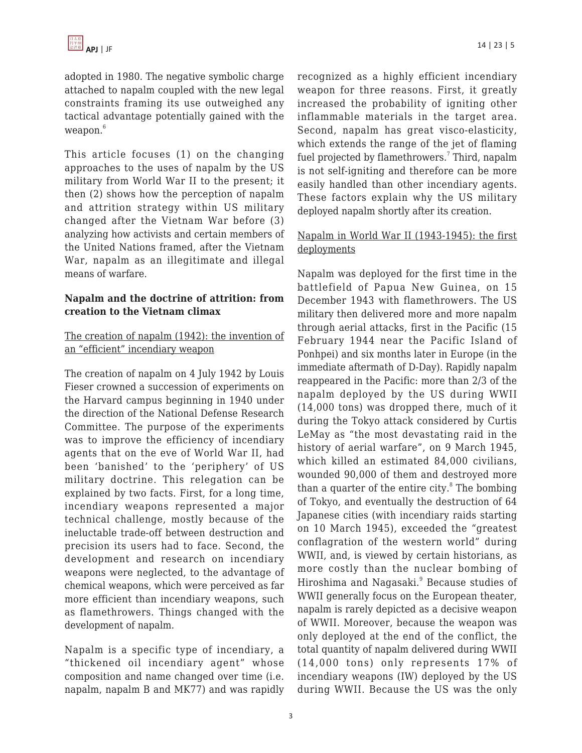adopted in 1980. The negative symbolic charge attached to napalm coupled with the new legal constraints framing its use outweighed any tactical advantage potentially gained with the weapon.<sup>6</sup>

This article focuses (1) on the changing approaches to the uses of napalm by the US military from World War II to the present; it then (2) shows how the perception of napalm and attrition strategy within US military changed after the Vietnam War before (3) analyzing how activists and certain members of the United Nations framed, after the Vietnam War, napalm as an illegitimate and illegal means of warfare.

#### **Napalm and the doctrine of attrition: from creation to the Vietnam climax**

## The creation of napalm (1942): the invention of an "efficient" incendiary weapon

The creation of napalm on 4 July 1942 by Louis Fieser crowned a succession of experiments on the Harvard campus beginning in 1940 under the direction of the National Defense Research Committee. The purpose of the experiments was to improve the efficiency of incendiary agents that on the eve of World War II, had been 'banished' to the 'periphery' of US military doctrine. This relegation can be explained by two facts. First, for a long time, incendiary weapons represented a major technical challenge, mostly because of the ineluctable trade-off between destruction and precision its users had to face. Second, the development and research on incendiary weapons were neglected, to the advantage of chemical weapons, which were perceived as far more efficient than incendiary weapons, such as flamethrowers. Things changed with the development of napalm.

Napalm is a specific type of incendiary, a "thickened oil incendiary agent" whose composition and name changed over time (i.e. napalm, napalm B and MK77) and was rapidly recognized as a highly efficient incendiary weapon for three reasons. First, it greatly increased the probability of igniting other inflammable materials in the target area. Second, napalm has great visco-elasticity, which extends the range of the jet of flaming fuel projected by flamethrowers.<sup>7</sup> Third, napalm is not self-igniting and therefore can be more easily handled than other incendiary agents. These factors explain why the US military deployed napalm shortly after its creation.

## Napalm in World War II (1943-1945): the first deployments

Napalm was deployed for the first time in the battlefield of Papua New Guinea, on 15 December 1943 with flamethrowers. The US military then delivered more and more napalm through aerial attacks, first in the Pacific (15 February 1944 near the Pacific Island of Ponhpei) and six months later in Europe (in the immediate aftermath of D-Day). Rapidly napalm reappeared in the Pacific: more than 2/3 of the napalm deployed by the US during WWII (14,000 tons) was dropped there, much of it during the Tokyo attack considered by Curtis LeMay as "the most devastating raid in the history of aerial warfare", on 9 March 1945, which killed an estimated 84,000 civilians, wounded 90,000 of them and destroyed more than a quarter of the entire city. $8$  The bombing of Tokyo, and eventually the destruction of 64 Japanese cities (with incendiary raids starting on 10 March 1945), exceeded the "greatest conflagration of the western world" during WWII, and, is viewed by certain historians, as more costly than the nuclear bombing of Hiroshima and Nagasaki.<sup>9</sup> Because studies of WWII generally focus on the European theater, napalm is rarely depicted as a decisive weapon of WWII. Moreover, because the weapon was only deployed at the end of the conflict, the total quantity of napalm delivered during WWII (14,000 tons) only represents 17% of incendiary weapons (IW) deployed by the US during WWII. Because the US was the only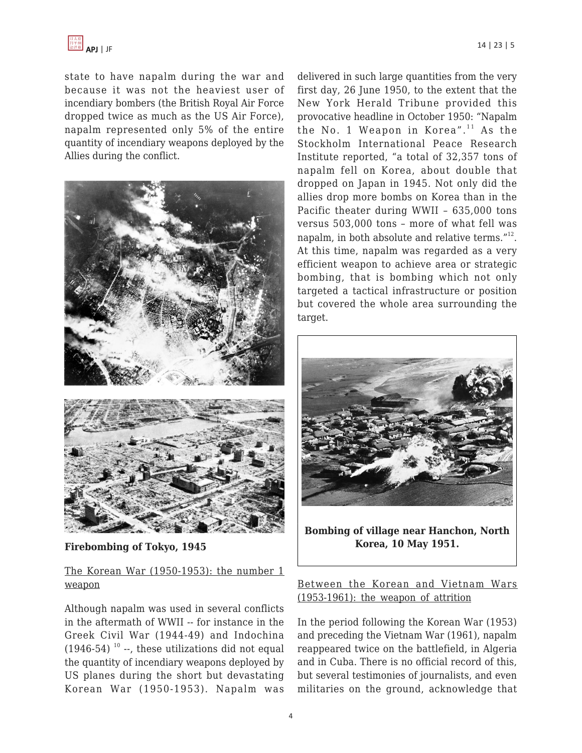

state to have napalm during the war and because it was not the heaviest user of incendiary bombers (the British Royal Air Force dropped twice as much as the US Air Force), napalm represented only 5% of the entire quantity of incendiary weapons deployed by the Allies during the conflict.



**Firebombing of Tokyo, 1945**

## The Korean War (1950-1953): the number 1 weapon

Although napalm was used in several conflicts in the aftermath of WWII -- for instance in the Greek Civil War (1944-49) and Indochina  $(1946-54)$ <sup>10</sup> --, these utilizations did not equal the quantity of incendiary weapons deployed by US planes during the short but devastating Korean War (1950-1953). Napalm was delivered in such large quantities from the very first day, 26 June 1950, to the extent that the New York Herald Tribune provided this provocative headline in October 1950: "Napalm the No. 1 Weapon in Korea". $11$  As the Stockholm International Peace Research Institute reported, "a total of 32,357 tons of napalm fell on Korea, about double that dropped on Japan in 1945. Not only did the allies drop more bombs on Korea than in the Pacific theater during WWII – 635,000 tons versus 503,000 tons – more of what fell was napalm, in both absolute and relative terms."<sup>12</sup>. At this time, napalm was regarded as a very efficient weapon to achieve area or strategic bombing, that is bombing which not only targeted a tactical infrastructure or position but covered the whole area surrounding the target.



**Bombing of village near Hanchon, North Korea, 10 May 1951.**

## Between the Korean and Vietnam Wars (1953-1961): the weapon of attrition

In the period following the Korean War (1953) and preceding the Vietnam War (1961), napalm reappeared twice on the battlefield, in Algeria and in Cuba. There is no official record of this, but several testimonies of journalists, and even militaries on the ground, acknowledge that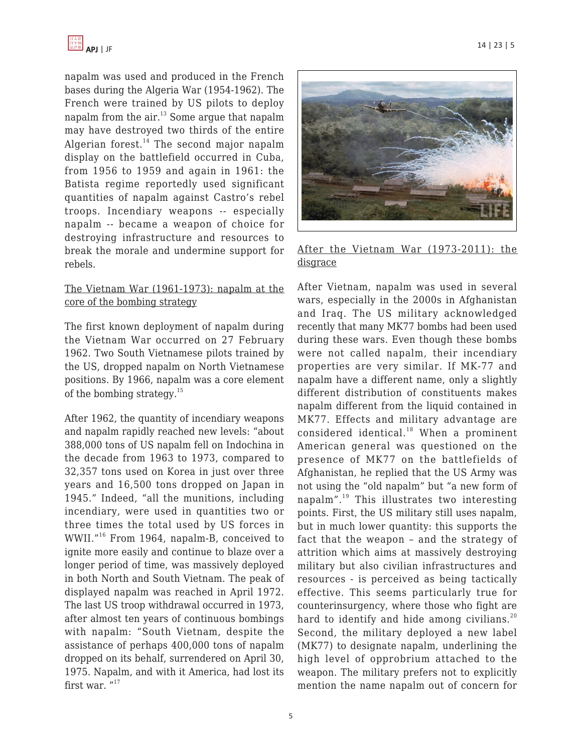

napalm was used and produced in the French bases during the Algeria War (1954-1962). The French were trained by US pilots to deploy napalm from the air.<sup>13</sup> Some argue that napalm may have destroyed two thirds of the entire Algerian forest.<sup>14</sup> The second major napalm display on the battlefield occurred in Cuba, from 1956 to 1959 and again in 1961: the Batista regime reportedly used significant quantities of napalm against Castro's rebel troops. Incendiary weapons -- especially napalm -- became a weapon of choice for destroying infrastructure and resources to break the morale and undermine support for rebels.

#### The Vietnam War (1961-1973): napalm at the core of the bombing strategy

The first known deployment of napalm during the Vietnam War occurred on 27 February 1962. Two South Vietnamese pilots trained by the US, dropped napalm on North Vietnamese positions. By 1966, napalm was a core element of the bombing strategy.<sup>15</sup>

After 1962, the quantity of incendiary weapons and napalm rapidly reached new levels: "about 388,000 tons of US napalm fell on Indochina in the decade from 1963 to 1973, compared to 32,357 tons used on Korea in just over three years and 16,500 tons dropped on Japan in 1945." Indeed, "all the munitions, including incendiary, were used in quantities two or three times the total used by US forces in WWII."<sup>16</sup> From 1964, napalm-B, conceived to ignite more easily and continue to blaze over a longer period of time, was massively deployed in both North and South Vietnam. The peak of displayed napalm was reached in April 1972. The last US troop withdrawal occurred in 1973, after almost ten years of continuous bombings with napalm: "South Vietnam, despite the assistance of perhaps 400,000 tons of napalm dropped on its behalf, surrendered on April 30, 1975. Napalm, and with it America, had lost its first war. "<sup>17</sup>



#### After the Vietnam War (1973-2011): the disgrace

After Vietnam, napalm was used in several wars, especially in the 2000s in Afghanistan and Iraq. The US military acknowledged recently that many MK77 bombs had been used during these wars. Even though these bombs were not called napalm, their incendiary properties are very similar. If MK-77 and napalm have a different name, only a slightly different distribution of constituents makes napalm different from the liquid contained in MK77. Effects and military advantage are considered identical.<sup>18</sup> When a prominent American general was questioned on the presence of MK77 on the battlefields of Afghanistan, he replied that the US Army was not using the "old napalm" but "a new form of napalm". $19$  This illustrates two interesting points. First, the US military still uses napalm, but in much lower quantity: this supports the fact that the weapon – and the strategy of attrition which aims at massively destroying military but also civilian infrastructures and resources - is perceived as being tactically effective. This seems particularly true for counterinsurgency, where those who fight are hard to identify and hide among civilians.<sup>20</sup> Second, the military deployed a new label (MK77) to designate napalm, underlining the high level of opprobrium attached to the weapon. The military prefers not to explicitly mention the name napalm out of concern for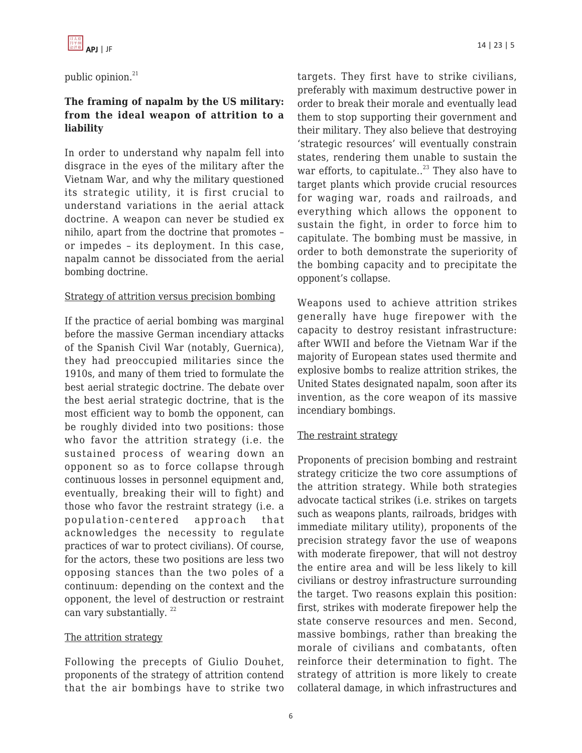public opinion.<sup>21</sup>

## **The framing of napalm by the US military: from the ideal weapon of attrition to a liability**

In order to understand why napalm fell into disgrace in the eyes of the military after the Vietnam War, and why the military questioned its strategic utility, it is first crucial to understand variations in the aerial attack doctrine. A weapon can never be studied ex nihilo, apart from the doctrine that promotes – or impedes – its deployment. In this case, napalm cannot be dissociated from the aerial bombing doctrine.

#### Strategy of attrition versus precision bombing

If the practice of aerial bombing was marginal before the massive German incendiary attacks of the Spanish Civil War (notably, Guernica), they had preoccupied militaries since the 1910s, and many of them tried to formulate the best aerial strategic doctrine. The debate over the best aerial strategic doctrine, that is the most efficient way to bomb the opponent, can be roughly divided into two positions: those who favor the attrition strategy (i.e. the sustained process of wearing down an opponent so as to force collapse through continuous losses in personnel equipment and, eventually, breaking their will to fight) and those who favor the restraint strategy (i.e. a population-centered approach that acknowledges the necessity to regulate practices of war to protect civilians). Of course, for the actors, these two positions are less two opposing stances than the two poles of a continuum: depending on the context and the opponent, the level of destruction or restraint can vary substantially.<sup>22</sup>

#### The attrition strategy

Following the precepts of Giulio Douhet, proponents of the strategy of attrition contend that the air bombings have to strike two targets. They first have to strike civilians, preferably with maximum destructive power in order to break their morale and eventually lead them to stop supporting their government and their military. They also believe that destroying 'strategic resources' will eventually constrain states, rendering them unable to sustain the war efforts, to capitulate..<sup>23</sup> They also have to target plants which provide crucial resources for waging war, roads and railroads, and everything which allows the opponent to sustain the fight, in order to force him to capitulate. The bombing must be massive, in order to both demonstrate the superiority of the bombing capacity and to precipitate the opponent's collapse.

Weapons used to achieve attrition strikes generally have huge firepower with the capacity to destroy resistant infrastructure: after WWII and before the Vietnam War if the majority of European states used thermite and explosive bombs to realize attrition strikes, the United States designated napalm, soon after its invention, as the core weapon of its massive incendiary bombings.

#### The restraint strategy

Proponents of precision bombing and restraint strategy criticize the two core assumptions of the attrition strategy. While both strategies advocate tactical strikes (i.e. strikes on targets such as weapons plants, railroads, bridges with immediate military utility), proponents of the precision strategy favor the use of weapons with moderate firepower, that will not destroy the entire area and will be less likely to kill civilians or destroy infrastructure surrounding the target. Two reasons explain this position: first, strikes with moderate firepower help the state conserve resources and men. Second, massive bombings, rather than breaking the morale of civilians and combatants, often reinforce their determination to fight. The strategy of attrition is more likely to create collateral damage, in which infrastructures and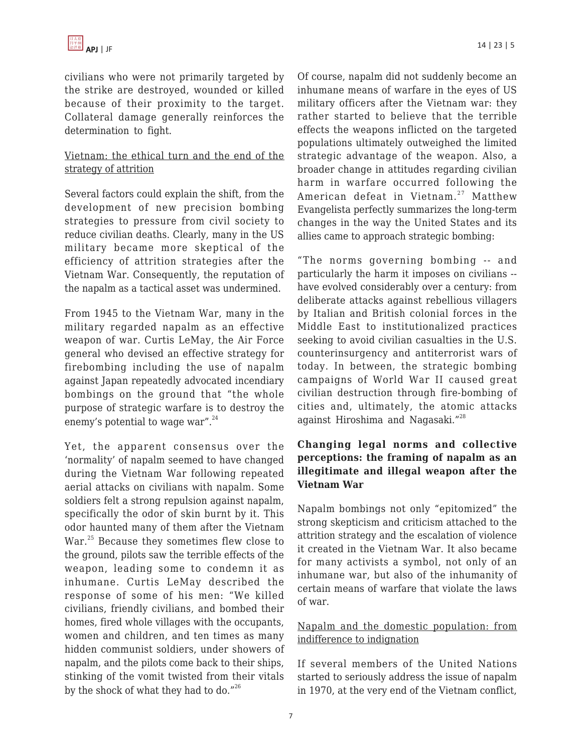civilians who were not primarily targeted by the strike are destroyed, wounded or killed because of their proximity to the target. Collateral damage generally reinforces the determination to fight.

## Vietnam: the ethical turn and the end of the strategy of attrition

Several factors could explain the shift, from the development of new precision bombing strategies to pressure from civil society to reduce civilian deaths. Clearly, many in the US military became more skeptical of the efficiency of attrition strategies after the Vietnam War. Consequently, the reputation of the napalm as a tactical asset was undermined.

From 1945 to the Vietnam War, many in the military regarded napalm as an effective weapon of war. Curtis LeMay, the Air Force general who devised an effective strategy for firebombing including the use of napalm against Japan repeatedly advocated incendiary bombings on the ground that "the whole purpose of strategic warfare is to destroy the enemy's potential to wage war". $^{24}$ 

Yet, the apparent consensus over the 'normality' of napalm seemed to have changed during the Vietnam War following repeated aerial attacks on civilians with napalm. Some soldiers felt a strong repulsion against napalm, specifically the odor of skin burnt by it. This odor haunted many of them after the Vietnam War.<sup>25</sup> Because they sometimes flew close to the ground, pilots saw the terrible effects of the weapon, leading some to condemn it as inhumane. Curtis LeMay described the response of some of his men: "We killed civilians, friendly civilians, and bombed their homes, fired whole villages with the occupants, women and children, and ten times as many hidden communist soldiers, under showers of napalm, and the pilots come back to their ships, stinking of the vomit twisted from their vitals by the shock of what they had to do."<sup>26</sup>

Of course, napalm did not suddenly become an inhumane means of warfare in the eyes of US military officers after the Vietnam war: they rather started to believe that the terrible effects the weapons inflicted on the targeted populations ultimately outweighed the limited strategic advantage of the weapon. Also, a broader change in attitudes regarding civilian harm in warfare occurred following the American defeat in Vietnam.<sup>27</sup> Matthew Evangelista perfectly summarizes the long-term changes in the way the United States and its allies came to approach strategic bombing:

"The norms governing bombing -- and particularly the harm it imposes on civilians - have evolved considerably over a century: from deliberate attacks against rebellious villagers by Italian and British colonial forces in the Middle East to institutionalized practices seeking to avoid civilian casualties in the U.S. counterinsurgency and antiterrorist wars of today. In between, the strategic bombing campaigns of World War II caused great civilian destruction through fire-bombing of cities and, ultimately, the atomic attacks against Hiroshima and Nagasaki."<sup>28</sup>

## **Changing legal norms and collective perceptions: the framing of napalm as an illegitimate and illegal weapon after the Vietnam War**

Napalm bombings not only "epitomized" the strong skepticism and criticism attached to the attrition strategy and the escalation of violence it created in the Vietnam War. It also became for many activists a symbol, not only of an inhumane war, but also of the inhumanity of certain means of warfare that violate the laws of war.

## Napalm and the domestic population: from indifference to indignation

If several members of the United Nations started to seriously address the issue of napalm in 1970, at the very end of the Vietnam conflict,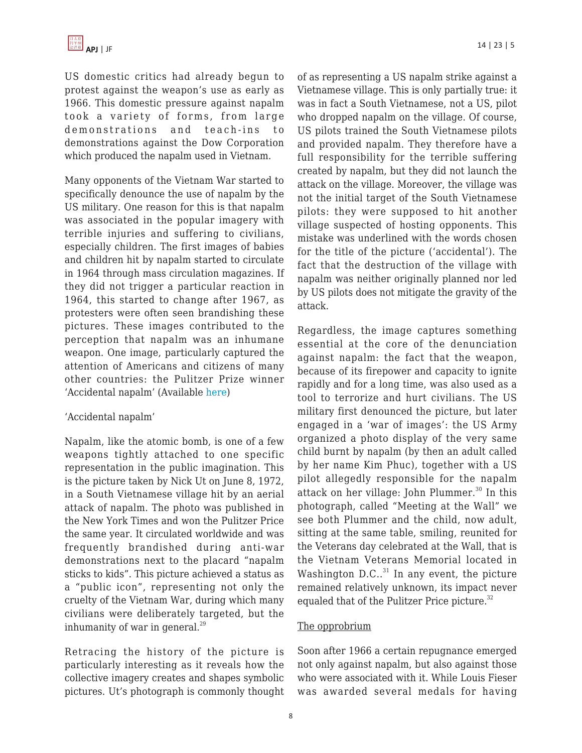US domestic critics had already begun to protest against the weapon's use as early as 1966. This domestic pressure against napalm took a variety of forms, from large demonstrations and teach-ins to demonstrations against the Dow Corporation which produced the napalm used in Vietnam.

Many opponents of the Vietnam War started to specifically denounce the use of napalm by the US military. One reason for this is that napalm was associated in the popular imagery with terrible injuries and suffering to civilians, especially children. The first images of babies and children hit by napalm started to circulate in 1964 through mass circulation magazines. If they did not trigger a particular reaction in 1964, this started to change after 1967, as protesters were often seen brandishing these pictures. These images contributed to the perception that napalm was an inhumane weapon. One image, particularly captured the attention of Americans and citizens of many other countries: the Pulitzer Prize winner 'Accidental napalm' (Available [here\)](http://www.apimages.com/Collection/Landing/Photographer-Nick-Ut-The-Napalm-Girl-/ebfc0a860aa946ba9e77eb786d46207e)

#### 'Accidental napalm'

Napalm, like the atomic bomb, is one of a few weapons tightly attached to one specific representation in the public imagination. This is the picture taken by Nick Ut on June 8, 1972, in a South Vietnamese village hit by an aerial attack of napalm. The photo was published in the New York Times and won the Pulitzer Price the same year. It circulated worldwide and was frequently brandished during anti-war demonstrations next to the placard "napalm sticks to kids". This picture achieved a status as a "public icon", representing not only the cruelty of the Vietnam War, during which many civilians were deliberately targeted, but the inhumanity of war in general. $^{29}$ 

Retracing the history of the picture is particularly interesting as it reveals how the collective imagery creates and shapes symbolic pictures. Ut's photograph is commonly thought of as representing a US napalm strike against a Vietnamese village. This is only partially true: it was in fact a South Vietnamese, not a US, pilot who dropped napalm on the village. Of course, US pilots trained the South Vietnamese pilots and provided napalm. They therefore have a full responsibility for the terrible suffering created by napalm, but they did not launch the attack on the village. Moreover, the village was not the initial target of the South Vietnamese pilots: they were supposed to hit another village suspected of hosting opponents. This mistake was underlined with the words chosen for the title of the picture ('accidental'). The fact that the destruction of the village with napalm was neither originally planned nor led by US pilots does not mitigate the gravity of the attack.

Regardless, the image captures something essential at the core of the denunciation against napalm: the fact that the weapon, because of its firepower and capacity to ignite rapidly and for a long time, was also used as a tool to terrorize and hurt civilians. The US military first denounced the picture, but later engaged in a 'war of images': the US Army organized a photo display of the very same child burnt by napalm (by then an adult called by her name Kim Phuc), together with a US pilot allegedly responsible for the napalm attack on her village: John Plummer. $30$  In this photograph, called "Meeting at the Wall" we see both Plummer and the child, now adult, sitting at the same table, smiling, reunited for the Veterans day celebrated at the Wall, that is the Vietnam Veterans Memorial located in Washington  $D.C..<sup>31</sup>$  In any event, the picture remained relatively unknown, its impact never equaled that of the Pulitzer Price picture.<sup>32</sup>

#### The opprobrium

Soon after 1966 a certain repugnance emerged not only against napalm, but also against those who were associated with it. While Louis Fieser was awarded several medals for having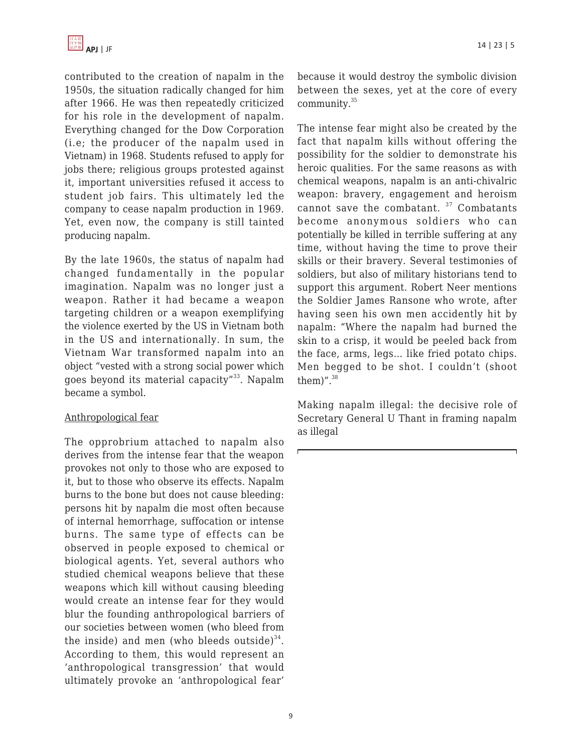

contributed to the creation of napalm in the 1950s, the situation radically changed for him after 1966. He was then repeatedly criticized for his role in the development of napalm. Everything changed for the Dow Corporation (i.e; the producer of the napalm used in Vietnam) in 1968. Students refused to apply for jobs there; religious groups protested against it, important universities refused it access to student job fairs. This ultimately led the company to cease napalm production in 1969. Yet, even now, the company is still tainted producing napalm.

By the late 1960s, the status of napalm had changed fundamentally in the popular imagination. Napalm was no longer just a weapon. Rather it had became a weapon targeting children or a weapon exemplifying the violence exerted by the US in Vietnam both in the US and internationally. In sum, the Vietnam War transformed napalm into an object "vested with a strong social power which goes beyond its material capacity"<sup>33</sup>. Napalm became a symbol.

#### Anthropological fear

The opprobrium attached to napalm also derives from the intense fear that the weapon provokes not only to those who are exposed to it, but to those who observe its effects. Napalm burns to the bone but does not cause bleeding: persons hit by napalm die most often because of internal hemorrhage, suffocation or intense burns. The same type of effects can be observed in people exposed to chemical or biological agents. Yet, several authors who studied chemical weapons believe that these weapons which kill without causing bleeding would create an intense fear for they would blur the founding anthropological barriers of our societies between women (who bleed from the inside) and men (who bleeds outside) $^{34}$ . According to them, this would represent an 'anthropological transgression' that would ultimately provoke an 'anthropological fear'

because it would destroy the symbolic division between the sexes, yet at the core of every community.<sup>35</sup>

The intense fear might also be created by the fact that napalm kills without offering the possibility for the soldier to demonstrate his heroic qualities. For the same reasons as with chemical weapons, napalm is an anti-chivalric weapon: bravery, engagement and heroism cannot save the combatant.  $37$  Combatants become anonymous soldiers who can potentially be killed in terrible suffering at any time, without having the time to prove their skills or their bravery. Several testimonies of soldiers, but also of military historians tend to support this argument. Robert Neer mentions the Soldier James Ransone who wrote, after having seen his own men accidently hit by napalm: "Where the napalm had burned the skin to a crisp, it would be peeled back from the face, arms, legs… like fried potato chips. Men begged to be shot. I couldn't (shoot them)". $38$ 

Making napalm illegal: the decisive role of Secretary General U Thant in framing napalm as illegal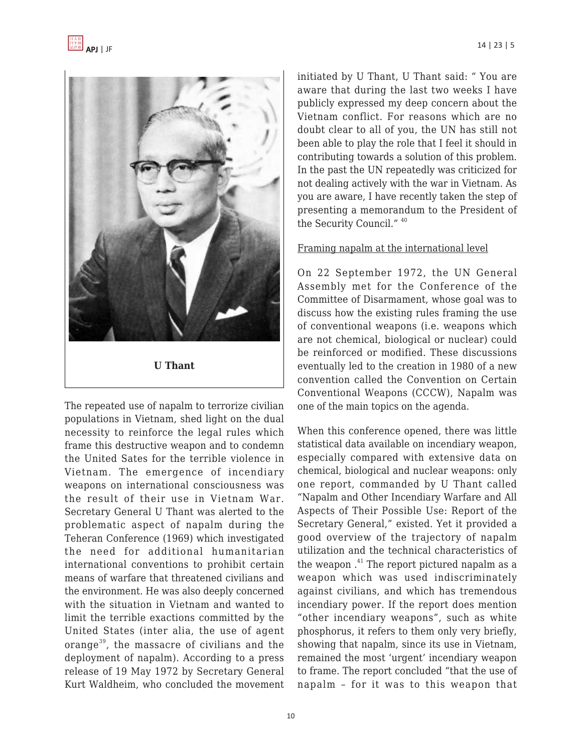

The repeated use of napalm to terrorize civilian populations in Vietnam, shed light on the dual necessity to reinforce the legal rules which frame this destructive weapon and to condemn the United Sates for the terrible violence in Vietnam. The emergence of incendiary weapons on international consciousness was the result of their use in Vietnam War. Secretary General U Thant was alerted to the problematic aspect of napalm during the Teheran Conference (1969) which investigated the need for additional humanitarian international conventions to prohibit certain means of warfare that threatened civilians and the environment. He was also deeply concerned with the situation in Vietnam and wanted to limit the terrible exactions committed by the United States (inter alia, the use of agent orange<sup>39</sup>, the massacre of civilians and the deployment of napalm). According to a press release of 19 May 1972 by Secretary General Kurt Waldheim, who concluded the movement initiated by U Thant, U Thant said: " You are aware that during the last two weeks I have publicly expressed my deep concern about the Vietnam conflict. For reasons which are no doubt clear to all of you, the UN has still not been able to play the role that I feel it should in contributing towards a solution of this problem. In the past the UN repeatedly was criticized for not dealing actively with the war in Vietnam. As you are aware, I have recently taken the step of presenting a memorandum to the President of the Security Council." <sup>40</sup>

#### Framing napalm at the international level

On 22 September 1972, the UN General Assembly met for the Conference of the Committee of Disarmament, whose goal was to discuss how the existing rules framing the use of conventional weapons (i.e. weapons which are not chemical, biological or nuclear) could be reinforced or modified. These discussions eventually led to the creation in 1980 of a new convention called the Convention on Certain Conventional Weapons (CCCW), Napalm was one of the main topics on the agenda.

When this conference opened, there was little statistical data available on incendiary weapon, especially compared with extensive data on chemical, biological and nuclear weapons: only one report, commanded by U Thant called "Napalm and Other Incendiary Warfare and All Aspects of Their Possible Use: Report of the Secretary General," existed. Yet it provided a good overview of the trajectory of napalm utilization and the technical characteristics of the weapon.<sup>41</sup> The report pictured napalm as a weapon which was used indiscriminately against civilians, and which has tremendous incendiary power. If the report does mention "other incendiary weapons", such as white phosphorus, it refers to them only very briefly, showing that napalm, since its use in Vietnam, remained the most 'urgent' incendiary weapon to frame. The report concluded "that the use of napalm – for it was to this weapon that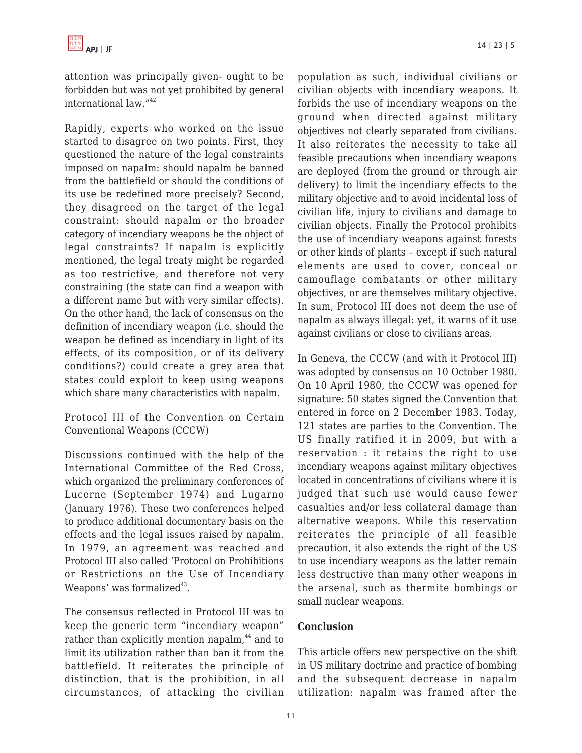attention was principally given- ought to be forbidden but was not yet prohibited by general international law."<sup>42</sup>

Rapidly, experts who worked on the issue started to disagree on two points. First, they questioned the nature of the legal constraints imposed on napalm: should napalm be banned from the battlefield or should the conditions of its use be redefined more precisely? Second, they disagreed on the target of the legal constraint: should napalm or the broader category of incendiary weapons be the object of legal constraints? If napalm is explicitly mentioned, the legal treaty might be regarded as too restrictive, and therefore not very constraining (the state can find a weapon with a different name but with very similar effects). On the other hand, the lack of consensus on the definition of incendiary weapon (i.e. should the weapon be defined as incendiary in light of its effects, of its composition, or of its delivery conditions?) could create a grey area that states could exploit to keep using weapons which share many characteristics with napalm.

Protocol III of the Convention on Certain Conventional Weapons (CCCW)

Discussions continued with the help of the International Committee of the Red Cross, which organized the preliminary conferences of Lucerne (September 1974) and Lugarno (January 1976). These two conferences helped to produce additional documentary basis on the effects and the legal issues raised by napalm. In 1979, an agreement was reached and Protocol III also called 'Protocol on Prohibitions or Restrictions on the Use of Incendiary Weapons' was formalized $^{43}$ .

The consensus reflected in Protocol III was to keep the generic term "incendiary weapon" rather than explicitly mention napalm,<sup>44</sup> and to limit its utilization rather than ban it from the battlefield. It reiterates the principle of distinction, that is the prohibition, in all circumstances, of attacking the civilian population as such, individual civilians or civilian objects with incendiary weapons. It forbids the use of incendiary weapons on the ground when directed against military objectives not clearly separated from civilians. It also reiterates the necessity to take all feasible precautions when incendiary weapons are deployed (from the ground or through air delivery) to limit the incendiary effects to the military objective and to avoid incidental loss of civilian life, injury to civilians and damage to civilian objects. Finally the Protocol prohibits the use of incendiary weapons against forests or other kinds of plants – except if such natural elements are used to cover, conceal or camouflage combatants or other military objectives, or are themselves military objective. In sum, Protocol III does not deem the use of napalm as always illegal: yet, it warns of it use against civilians or close to civilians areas.

In Geneva, the CCCW (and with it Protocol III) was adopted by consensus on 10 October 1980. On 10 April 1980, the CCCW was opened for signature: 50 states signed the Convention that entered in force on 2 December 1983. Today, 121 states are parties to the Convention. The US finally ratified it in 2009, but with a reservation : it retains the right to use incendiary weapons against military objectives located in concentrations of civilians where it is judged that such use would cause fewer casualties and/or less collateral damage than alternative weapons. While this reservation reiterates the principle of all feasible precaution, it also extends the right of the US to use incendiary weapons as the latter remain less destructive than many other weapons in the arsenal, such as thermite bombings or small nuclear weapons.

#### **Conclusion**

This article offers new perspective on the shift in US military doctrine and practice of bombing and the subsequent decrease in napalm utilization: napalm was framed after the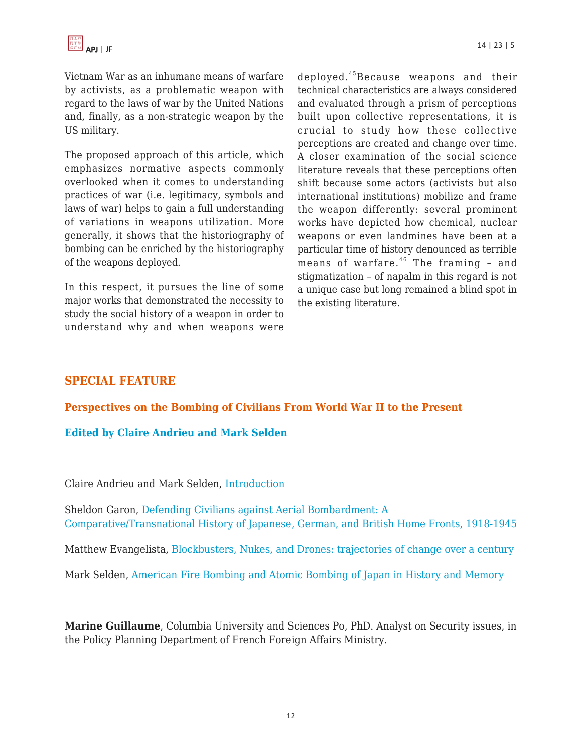

Vietnam War as an inhumane means of warfare by activists, as a problematic weapon with regard to the laws of war by the United Nations and, finally, as a non-strategic weapon by the US military.

The proposed approach of this article, which emphasizes normative aspects commonly overlooked when it comes to understanding practices of war (i.e. legitimacy, symbols and laws of war) helps to gain a full understanding of variations in weapons utilization. More generally, it shows that the historiography of bombing can be enriched by the historiography of the weapons deployed.

In this respect, it pursues the line of some major works that demonstrated the necessity to study the social history of a weapon in order to understand why and when weapons were deployed.<sup>45</sup>Because weapons and their technical characteristics are always considered and evaluated through a prism of perceptions built upon collective representations, it is crucial to study how these collective perceptions are created and change over time. A closer examination of the social science literature reveals that these perceptions often shift because some actors (activists but also international institutions) mobilize and frame the weapon differently: several prominent works have depicted how chemical, nuclear weapons or even landmines have been at a particular time of history denounced as terrible means of warfare. $46$  The framing - and stigmatization – of napalm in this regard is not a unique case but long remained a blind spot in the existing literature.

## **SPECIAL FEATURE**

#### **Perspectives on the Bombing of Civilians From World War II to the Present**

#### **Edited by Claire Andrieu and Mark Selden**

Claire Andrieu and Mark Selden, [Introduction](https://apjjf.org/2016/23/Andrieu.html)

Sheldon Garon, [Defending Civilians against Aerial Bombardment: A](https://apjjf.org/2016/23/Garon.html) [Comparative/Transnational History of Japanese, German, and British Home Fronts, 1918-1945](https://apjjf.org/2016/23/Garon.html)

Matthew Evangelista, [Blockbusters, Nukes, and Drones: trajectories of change over a century](https://apjjf.org/2016/23/Evangelista.html)

Mark Selden, [American Fire Bombing and Atomic Bombing of Japan in History and Memory](https://apjjf.org/2016/23/Selden.html)

**Marine Guillaume**, Columbia University and Sciences Po, PhD. Analyst on Security issues, in the Policy Planning Department of French Foreign Affairs Ministry.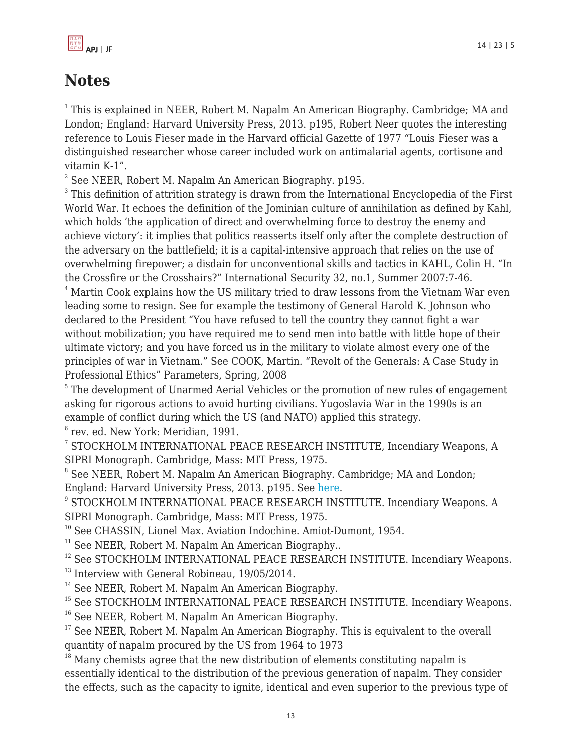

# **Notes**

 $1$  This is explained in NEER, Robert M. Napalm An American Biography. Cambridge; MA and London; England: Harvard University Press, 2013. p195, Robert Neer quotes the interesting reference to Louis Fieser made in the Harvard official Gazette of 1977 "Louis Fieser was a distinguished researcher whose career included work on antimalarial agents, cortisone and vitamin K-1".

 $2$  See NEER, Robert M. Napalm An American Biography. p195.

 $^3$  This definition of attrition strategy is drawn from the International Encyclopedia of the First World War. It echoes the definition of the Jominian culture of annihilation as defined by Kahl, which holds 'the application of direct and overwhelming force to destroy the enemy and achieve victory': it implies that politics reasserts itself only after the complete destruction of the adversary on the battlefield; it is a capital-intensive approach that relies on the use of overwhelming firepower; a disdain for unconventional skills and tactics in KAHL, Colin H. "In the Crossfire or the Crosshairs?" International Security 32, no.1, Summer 2007:7-46.

<sup>4</sup> Martin Cook explains how the US military tried to draw lessons from the Vietnam War even leading some to resign. See for example the testimony of General Harold K. Johnson who declared to the President "You have refused to tell the country they cannot fight a war without mobilization; you have required me to send men into battle with little hope of their ultimate victory; and you have forced us in the military to violate almost every one of the principles of war in Vietnam." See COOK, Martin. "Revolt of the Generals: A Case Study in Professional Ethics" Parameters, Spring, 2008

<sup>5</sup> The development of Unarmed Aerial Vehicles or the promotion of new rules of engagement asking for rigorous actions to avoid hurting civilians. Yugoslavia War in the 1990s is an example of conflict during which the US (and NATO) applied this strategy.

6 rev. ed. New York: Meridian, 1991.

7 STOCKHOLM INTERNATIONAL PEACE RESEARCH INSTITUTE, Incendiary Weapons, A SIPRI Monograph. Cambridge, Mass: MIT Press, 1975.

<sup>8</sup> See NEER, Robert M. Napalm An American Biography. Cambridge; MA and London; England: Harvard University Press, 2013. p195. See [here](http://apjjf.org/2014/12/3/Mark-Selden/4065/article.html).

9 STOCKHOLM INTERNATIONAL PEACE RESEARCH INSTITUTE. Incendiary Weapons. A SIPRI Monograph. Cambridge, Mass: MIT Press, 1975.

<sup>10</sup> See CHASSIN, Lionel Max. Aviation Indochine. Amiot-Dumont, 1954.

 $11$  See NEER, Robert M. Napalm An American Biography..

<sup>12</sup> See STOCKHOLM INTERNATIONAL PEACE RESEARCH INSTITUTE. Incendiary Weapons.

<sup>13</sup> Interview with General Robineau, 19/05/2014.

<sup>14</sup> See NEER, Robert M. Napalm An American Biography.

<sup>15</sup> See STOCKHOLM INTERNATIONAL PEACE RESEARCH INSTITUTE. Incendiary Weapons.

<sup>16</sup> See NEER, Robert M. Napalm An American Biography.

 $17$  See NEER, Robert M. Napalm An American Biography. This is equivalent to the overall quantity of napalm procured by the US from 1964 to 1973

 $18$  Many chemists agree that the new distribution of elements constituting napalm is essentially identical to the distribution of the previous generation of napalm. They consider the effects, such as the capacity to ignite, identical and even superior to the previous type of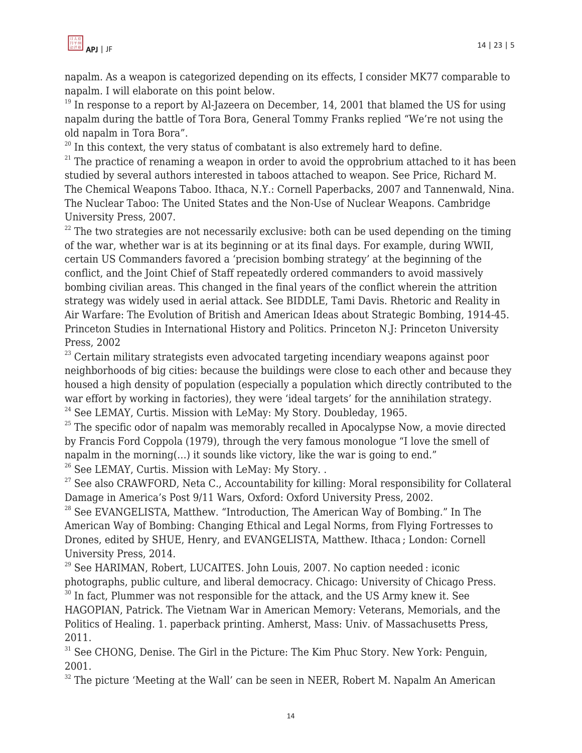napalm. As a weapon is categorized depending on its effects, I consider MK77 comparable to napalm. I will elaborate on this point below.

 $19$  In response to a report by Al-Jazeera on December, 14, 2001 that blamed the US for using napalm during the battle of Tora Bora, General Tommy Franks replied "We're not using the old napalm in Tora Bora".

 $20$  In this context, the very status of combatant is also extremely hard to define.

 $21$ <sup>21</sup> The practice of renaming a weapon in order to avoid the opprobrium attached to it has been studied by several authors interested in taboos attached to weapon. See Price, Richard M. The Chemical Weapons Taboo. Ithaca, N.Y.: Cornell Paperbacks, 2007 and Tannenwald, Nina. The Nuclear Taboo: The United States and the Non-Use of Nuclear Weapons. Cambridge University Press, 2007.

 $22$  The two strategies are not necessarily exclusive: both can be used depending on the timing of the war, whether war is at its beginning or at its final days. For example, during WWII, certain US Commanders favored a 'precision bombing strategy' at the beginning of the conflict, and the Joint Chief of Staff repeatedly ordered commanders to avoid massively bombing civilian areas. This changed in the final years of the conflict wherein the attrition strategy was widely used in aerial attack. See BIDDLE, Tami Davis. Rhetoric and Reality in Air Warfare: The Evolution of British and American Ideas about Strategic Bombing, 1914-45. Princeton Studies in International History and Politics. Princeton N.J: Princeton University Press, 2002

<sup>23</sup> Certain military strategists even advocated targeting incendiary weapons against poor neighborhoods of big cities: because the buildings were close to each other and because they housed a high density of population (especially a population which directly contributed to the war effort by working in factories), they were 'ideal targets' for the annihilation strategy.  $24$  See LEMAY, Curtis. Mission with LeMay: My Story. Doubleday, 1965.

 $25$  The specific odor of napalm was memorably recalled in Apocalypse Now, a movie directed by Francis Ford Coppola (1979), through the very famous monologue "I love the smell of napalm in the morning(…) it sounds like victory, like the war is going to end."

 $26$  See LEMAY, Curtis. Mission with LeMay: My Story. .

 $27$  See also CRAWFORD, Neta C., Accountability for killing: Moral responsibility for Collateral Damage in America's Post 9/11 Wars, Oxford: Oxford University Press, 2002.

<sup>28</sup> See EVANGELISTA, Matthew. "Introduction, The American Way of Bombing." In The American Way of Bombing: Changing Ethical and Legal Norms, from Flying Fortresses to Drones, edited by SHUE, Henry, and EVANGELISTA, Matthew. Ithaca ; London: Cornell University Press, 2014.

<sup>29</sup> See HARIMAN, Robert, LUCAITES. John Louis, 2007. No caption needed : iconic photographs, public culture, and liberal democracy. Chicago: University of Chicago Press. <sup>30</sup> In fact, Plummer was not responsible for the attack, and the US Army knew it. See

HAGOPIAN, Patrick. The Vietnam War in American Memory: Veterans, Memorials, and the Politics of Healing. 1. paperback printing. Amherst, Mass: Univ. of Massachusetts Press, 2011.

<sup>31</sup> See CHONG, Denise. The Girl in the Picture: The Kim Phuc Story. New York: Penguin, 2001.

 $32$  The picture 'Meeting at the Wall' can be seen in NEER, Robert M. Napalm An American